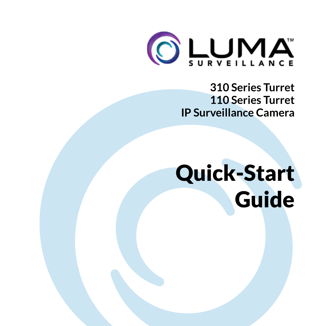

**310 Series Turret 110 Series Turret IP Surveillance Camera**

# Quick-Start Guide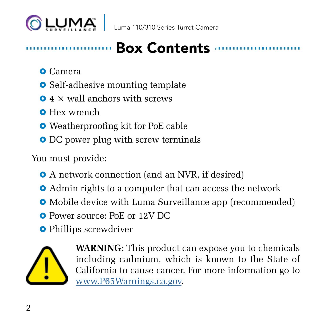

#### 

### Box Contents

- **O** Camera
- **•** Self-adhesive mounting template
- $\Omega$  4  $\times$  wall anchors with screws
- **Q** Hex wrench
- **•** Weatherproofing kit for PoE cable
- DC power plug with screw terminals

You must provide:

- A network connection (and an NVR, if desired)
- **•** Admin rights to a computer that can access the network
- **•** Mobile device with Luma Surveillance app (recommended)
- **Q** Power source: PoE or 12V DC
- **•** Phillips screwdriver



**WARNING:** This product can expose you to chemicals including cadmium, which is known to the State of California to cause cancer. For more information go to www.P65Warnings.ca.gov.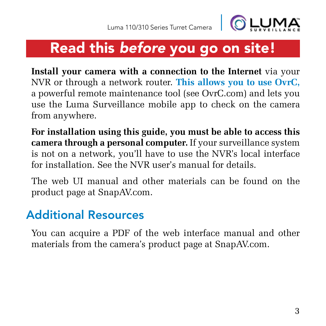

### Read this *before* you go on site!

**Install your camera with a connection to the Internet** via your NVR or through a network router. **This allows you to use OvrC,** a powerful remote maintenance tool (see OvrC.com) and lets you use the Luma Surveillance mobile app to check on the camera from anywhere.

**For installation using this guide, you must be able to access this camera through a personal computer.** If your surveillance system is not on a network, you'll have to use the NVR's local interface for installation. See the NVR user's manual for details.

The web UI manual and other materials can be found on the product page at SnapAV.com.

#### Additional Resources

You can acquire a PDF of the web interface manual and other materials from the camera's product page at SnapAV.com.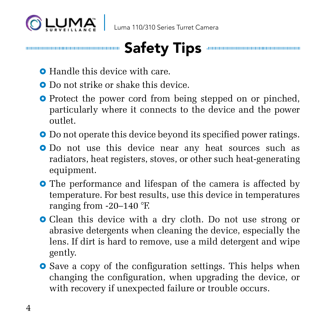



- **Handle this device with care.**
- **Q** Do not strike or shake this device.
- **•** Protect the power cord from being stepped on or pinched. particularly where it connects to the device and the power outlet.
- **•** Do not operate this device beyond its specified power ratings.
- **•** Do not use this device near any heat sources such as radiators, heat registers, stoves, or other such heat-generating equipment.
- **•** The performance and lifespan of the camera is affected by temperature. For best results, use this device in temperatures ranging from -20–140 °F.
- **•** Clean this device with a dry cloth. Do not use strong or abrasive detergents when cleaning the device, especially the lens. If dirt is hard to remove, use a mild detergent and wipe gently.
- **O** Save a copy of the configuration settings. This helps when changing the configuration, when upgrading the device, or with recovery if unexpected failure or trouble occurs.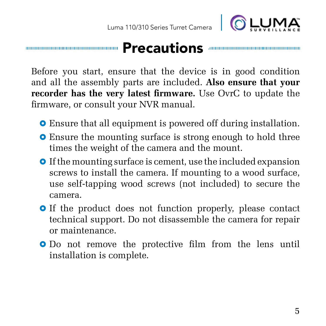

#### **Precautions Antiques Active**

Before you start, ensure that the device is in good condition and all the assembly parts are included. **Also ensure that your recorder has the very latest firmware.** Use OvrC to update the firmware, or consult your NVR manual.

- $\bullet$  Ensure that all equipment is powered off during installation.
- **•** Ensure the mounting surface is strong enough to hold three times the weight of the camera and the mount.
- **•** If the mounting surface is cement, use the included expansion screws to install the camera. If mounting to a wood surface, use self-tapping wood screws (not included) to secure the camera.
- **•** If the product does not function properly, please contact technical support. Do not disassemble the camera for repair or maintenance.
- **O** Do not remove the protective film from the lens until installation is complete.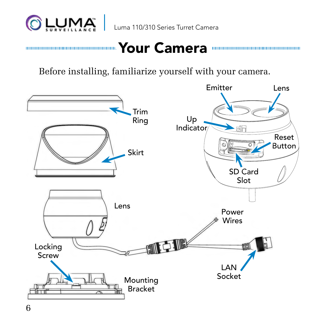

# www.www.www.www.www.www.Your Camera www.www.www.www.www.ww

Before installing, familiarize yourself with your camera.

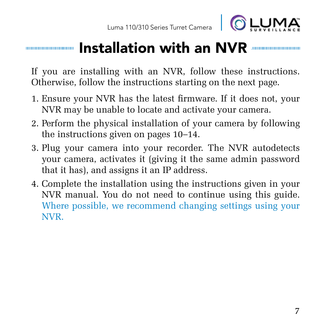

#### Installation with an NVR

If you are installing with an NVR, follow these instructions. Otherwise, follow the instructions starting on the next page.

- 1. Ensure your NVR has the latest firmware. If it does not, your NVR may be unable to locate and activate your camera.
- 2. Perform the physical installation of your camera by following the instructions given on pages 10–14.
- 3. Plug your camera into your recorder. The NVR autodetects your camera, activates it (giving it the same admin password that it has), and assigns it an IP address.
- 4. Complete the installation using the instructions given in your NVR manual. You do not need to continue using this guide. Where possible, we recommend changing settings using your NVR.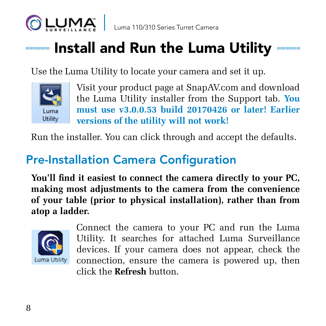

### **INSTALLET AND RUN THE LUMA Utility AND MELGY AND RUN AND RUN AND RUN AND RUN AND RUN AND RUN AND RUN AND RUN A**

Use the Luma Utility to locate your camera and set it up.



Visit your product page at SnapAV.com and download the Luma Utility installer from the Support tab. **You must use v3.0.0.53 build 20170426 or later! Earlier versions of the utility will not work!**

Run the installer. You can click through and accept the defaults.

#### Pre-Installation Camera Configuration

**You'll find it easiest to connect the camera directly to your PC, making most adjustments to the camera from the convenience of your table (prior to physical installation), rather than from atop a ladder.** 



Connect the camera to your PC and run the Luma Utility. It searches for attached Luma Surveillance devices. If your camera does not appear, check the Luma Utility connection, ensure the camera is powered up, then click the **Refresh** button.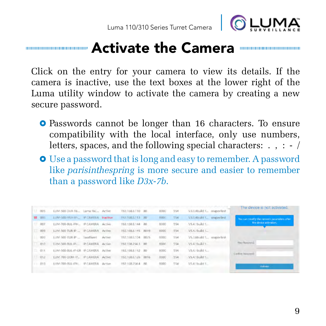

#### **MACHING CAMERA THE CAMERA MANAGEMENT COMMUNICALLY INCORPORATE CAMERA MANAGEMENT CONTROL**

Click on the entry for your camera to view its details. If the camera is inactive, use the text boxes at the lower right of the Luma utility window to activate the camera by creating a new secure password.

- **O** Passwords cannot be longer than 16 characters. To ensure compatibility with the local interface, only use numbers, letters, spaces, and the following special characters: . , : - /
- **•** Use a password that is long and easy to remember. A password like *parisinthespring* is more secure and easier to remember than a password like *D3x-7b*.

|              | DOS: | LUM-500-DVR-16., Luma 16C., Active   |                         |        | 192.168.8.110 80   | FIODO         | 554 | V3.0.4build f.i. snapaviest | The device is not activated.                                           |
|--------------|------|--------------------------------------|-------------------------|--------|--------------------|---------------|-----|-----------------------------|------------------------------------------------------------------------|
| <b>M OOS</b> |      | LUM-SOD-FISH-(F)_ IP CAMERA Inactive |                         |        | 192,158,8,113 30   | <b>FIGOST</b> | 554 | V3.0.4bild 1. impiviest     | You can roodly the retwork parameters after-<br>the device activation. |
|              | 007  | LUM-700-BUL-IPH., IP CAMERA Active   |                         |        | 192.158.8.144 80   | 8000          | 554 | V5.4 (build 1               |                                                                        |
|              | 008  | LUM-500-TUR-IP __ IP CAMERA Active   |                         |        | 192,168,8,145 8019 | 8000          | 554 | VS.4.1build 1               |                                                                        |
|              | 000  | LUM 500 TUR-IP  Sandluret            |                         | Active | 192,168,8,104 8025 | 6000          | 554 | V5.3.6build 1 snapovlest    |                                                                        |
|              | 010  | LUM-500-RUL-IR-                      | <b>IP CAMERA Active</b> |        | 192,108,254.1 80   | 1000          | 554 | VS 4.1bidd 1.               | New Reservoir                                                          |
|              | 011  | LUM-500-BUL-IP-GR IP CAMERA          |                         | Active | 192.158.8.112 80   | 8000          | 554 | V5.4.1bidd 1                | <b>Cold-to National</b>                                                |
|              | 018  | LUM-700-DOM-IP_ IP LAMERA Active     |                         |        | 192168.8.126 8016  | EIGOCI        | 554 | V5.4.1build 1.              |                                                                        |
|              | 011  | LUM-700-0UL-IPH.                     | <b>IP CAMIRA</b>        | Action | 1921682544 80      | 8000          | SS4 | US 4:1build 1               | Arresto                                                                |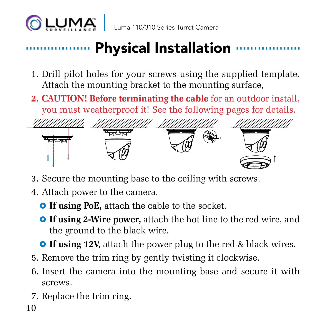

#### Physical Installation 10000000000000000000000000

- 1. Drill pilot holes for your screws using the supplied template. Attach the mounting bracket to the mounting surface,
- **2. CAUTION! Before terminating the cable** for an outdoor install, you must weatherproof it! See the following pages for details.



- 3. Secure the mounting base to the ceiling with screws.
- 4. Attach power to the camera.
	- **O** If using PoE, attach the cable to the socket.
	- **O** If using 2-Wire power, attach the hot line to the red wire, and the ground to the black wire.
	- **If using 12V,** attach the power plug to the red & black wires.
- 5. Remove the trim ring by gently twisting it clockwise.
- 6. Insert the camera into the mounting base and secure it with screws.
- 7. Replace the trim ring.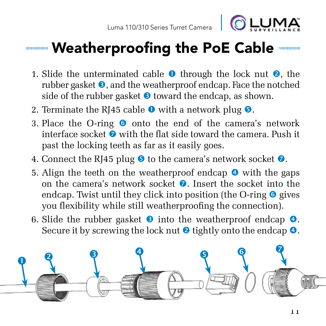

- 1. Slide the unterminated cable  $\bullet$  through the lock nut  $\bullet$ , the rubber gasket  $\odot$ , and the weatherproof endcap. Face the notched side of the rubber gasket  $\bullet$  toward the endcap, as shown.
- 2. Terminate the RI45 cable  $\bullet$  with a network plug  $\bullet$ .
- 3. Place the O-ring  $\bullet$  onto the end of the camera's network interface socket  $\bullet$  with the flat side toward the camera. Push it past the locking teeth as far as it easily goes.
- 4. Connect the RJ45 plug  $\bullet$  to the camera's network socket  $\bullet$ .
- 5. Align the teeth on the weatherproof endcap  $\bullet$  with the gaps on the camera's network socket  $\Omega$ . Insert the socket into the endcap. Twist until they click into position (the O-ring  $\bullet$  gives you flexibility while still weatherproofing the connection).
- 6. Slide the rubber gasket  $\bullet$  into the weatherproof endcap  $\bullet$ . Secure it by screwing the lock nut  $\bullet$  tightly onto the endcap  $\bullet$ .

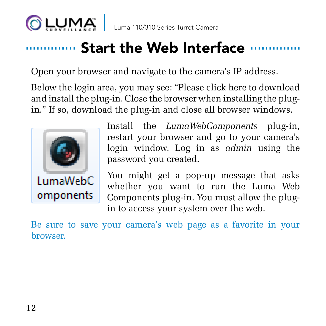

### **Insurance Start the Web Interface with the Web Interface Start**

Open your browser and navigate to the camera's IP address.

Below the login area, you may see: "Please click here to download and install the plug-in. Close the browser when installing the plugin." If so, download the plug-in and close all browser windows.



Install the *LumaWebComponents* plug-in, restart your browser and go to your camera's login window. Log in as *admin* using the password you created.

You might get a pop-up message that asks whether you want to run the Luma Web Components plug-in. You must allow the plugin to access your system over the web.

Be sure to save your camera's web page as a favorite in your browser.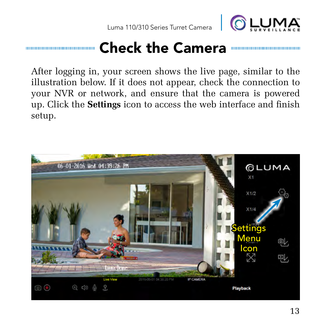

## Check the Camera

After logging in, your screen shows the live page, similar to the illustration below. If it does not appear, check the connection to your NVR or network, and ensure that the camera is powered up. Click the **Settings** icon to access the web interface and finish setup.

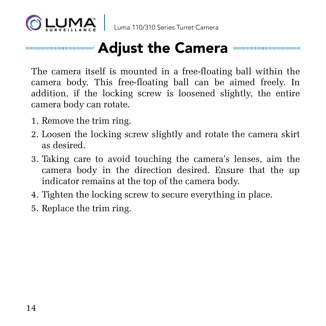

# **Municipality manufacturers and all constructs of the Camera municipality of the Camera**

The camera itself is mounted in a free-floating ball within the camera body. This free-floating ball can be aimed freely. In addition, if the locking screw is loosened slightly, the entire camera body can rotate.

- 1. Remove the trim ring.
- 2. Loosen the locking screw slightly and rotate the camera skirt as desired.
- 3. Taking care to avoid touching the camera's lenses, aim the camera body in the direction desired. Ensure that the up indicator remains at the top of the camera body.
- 4. Tighten the locking screw to secure everything in place.
- 5. Replace the trim ring.